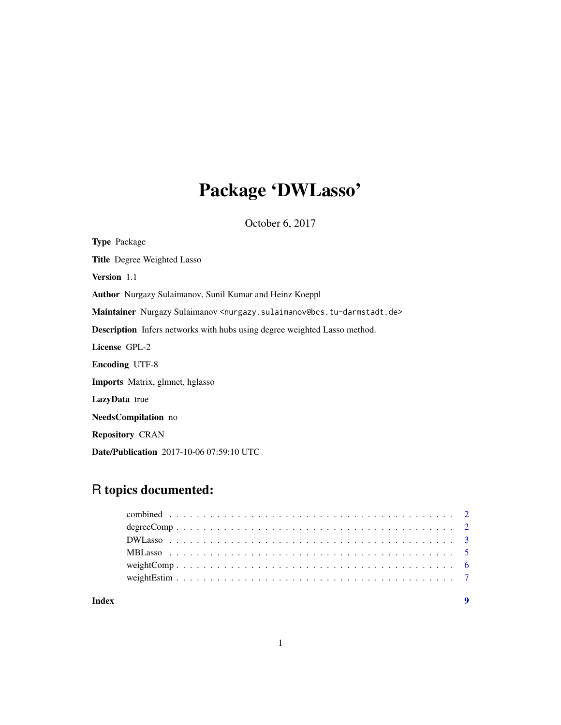## Package 'DWLasso'

October 6, 2017

Type Package Title Degree Weighted Lasso Version 1.1 Author Nurgazy Sulaimanov, Sunil Kumar and Heinz Koeppl Maintainer Nurgazy Sulaimanov <nurgazy.sulaimanov@bcs.tu-darmstadt.de> Description Infers networks with hubs using degree weighted Lasso method. License GPL-2 Encoding UTF-8 Imports Matrix, glmnet, hglasso LazyData true NeedsCompilation no Repository CRAN Date/Publication 2017-10-06 07:59:10 UTC

### R topics documented:

| Index | $\mathbf Q$ |
|-------|-------------|
|       |             |
|       |             |
|       |             |
|       |             |
|       |             |
|       |             |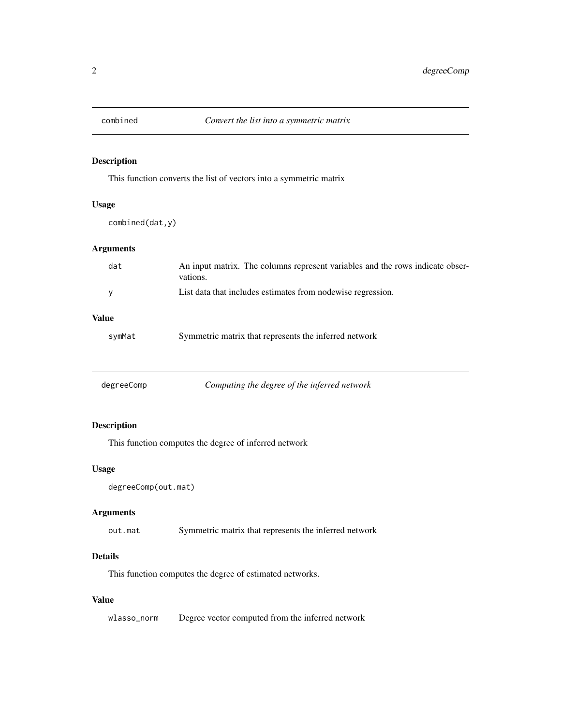<span id="page-1-0"></span>

#### Description

This function converts the list of vectors into a symmetric matrix

#### Usage

combined(dat,y)

#### Arguments

| dat          | An input matrix. The columns represent variables and the rows indicate obser-<br>vations. |
|--------------|-------------------------------------------------------------------------------------------|
| у            | List data that includes estimates from nodewise regression.                               |
| <b>Value</b> |                                                                                           |
| symMat       | Symmetric matrix that represents the inferred network                                     |
|              |                                                                                           |

| degreeComp | Computing the degree of the inferred network |
|------------|----------------------------------------------|
|------------|----------------------------------------------|

#### Description

This function computes the degree of inferred network

#### Usage

```
degreeComp(out.mat)
```
#### Arguments

out.mat Symmetric matrix that represents the inferred network

#### Details

This function computes the degree of estimated networks.

#### Value

wlasso\_norm Degree vector computed from the inferred network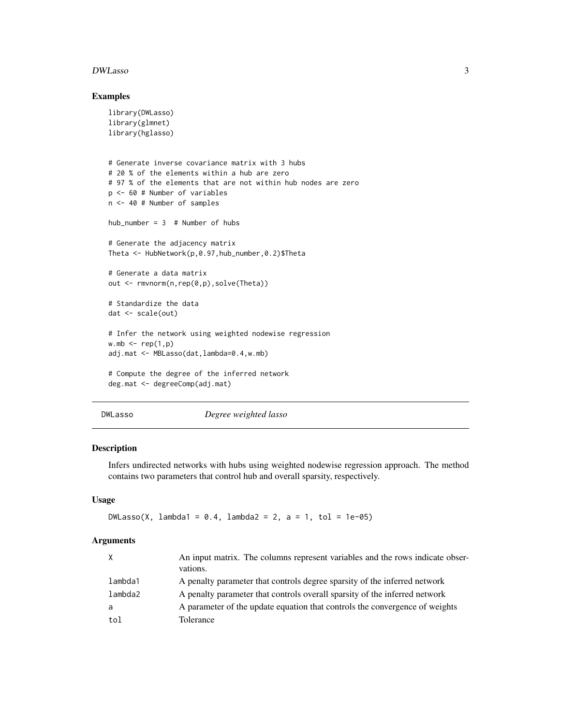#### <span id="page-2-0"></span>DWLasso 3

#### Examples

```
library(DWLasso)
library(glmnet)
library(hglasso)
# Generate inverse covariance matrix with 3 hubs
# 20 % of the elements within a hub are zero
# 97 % of the elements that are not within hub nodes are zero
p <- 60 # Number of variables
n <- 40 # Number of samples
hub_number = 3 # Number of hubs
# Generate the adjacency matrix
Theta <- HubNetwork(p,0.97,hub_number,0.2)$Theta
# Generate a data matrix
out <- rmvnorm(n,rep(0,p),solve(Theta))
# Standardize the data
dat <- scale(out)
# Infer the network using weighted nodewise regression
wmb \leftarrow rep(1,p)adj.mat <- MBLasso(dat,lambda=0.4,w.mb)
# Compute the degree of the inferred network
deg.mat <- degreeComp(adj.mat)
```
#### DWLasso *Degree weighted lasso*

#### Description

Infers undirected networks with hubs using weighted nodewise regression approach. The method contains two parameters that control hub and overall sparsity, respectively.

#### Usage

```
DWLasso(X, lambda1 = 0.4, lambda2 = 2, a = 1, tol = 1e-05)
```
#### Arguments

| X       | An input matrix. The columns represent variables and the rows indicate obser-<br>vations. |
|---------|-------------------------------------------------------------------------------------------|
| lambda1 | A penalty parameter that controls degree sparsity of the inferred network                 |
| lambda2 | A penalty parameter that controls overall sparsity of the inferred network                |
| a       | A parameter of the update equation that controls the convergence of weights               |
| tol     | Tolerance                                                                                 |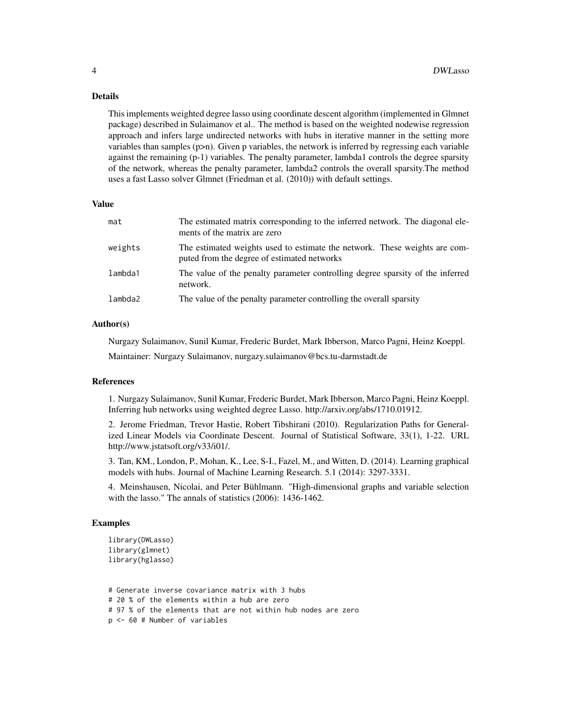#### Details

This implements weighted degree lasso using coordinate descent algorithm (implemented in Glmnet package) described in Sulaimanov et al.. The method is based on the weighted nodewise regression approach and infers large undirected networks with hubs in iterative manner in the setting more variables than samples (p>n). Given p variables, the network is inferred by regressing each variable against the remaining (p-1) variables. The penalty parameter, lambda1 controls the degree sparsity of the network, whereas the penalty parameter, lambda2 controls the overall sparsity.The method uses a fast Lasso solver Glmnet (Friedman et al. (2010)) with default settings.

#### Value

| mat     | The estimated matrix corresponding to the inferred network. The diagonal ele-<br>ments of the matrix are zero             |
|---------|---------------------------------------------------------------------------------------------------------------------------|
| weights | The estimated weights used to estimate the network. These weights are com-<br>puted from the degree of estimated networks |
| lambda1 | The value of the penalty parameter controlling degree sparsity of the inferred<br>network.                                |
| lambda2 | The value of the penalty parameter controlling the overall sparsity                                                       |

#### Author(s)

Nurgazy Sulaimanov, Sunil Kumar, Frederic Burdet, Mark Ibberson, Marco Pagni, Heinz Koeppl. Maintainer: Nurgazy Sulaimanov, nurgazy.sulaimanov@bcs.tu-darmstadt.de

#### References

1. Nurgazy Sulaimanov, Sunil Kumar, Frederic Burdet, Mark Ibberson, Marco Pagni, Heinz Koeppl. Inferring hub networks using weighted degree Lasso. http://arxiv.org/abs/1710.01912.

2. Jerome Friedman, Trevor Hastie, Robert Tibshirani (2010). Regularization Paths for Generalized Linear Models via Coordinate Descent. Journal of Statistical Software, 33(1), 1-22. URL http://www.jstatsoft.org/v33/i01/.

3. Tan, KM., London, P., Mohan, K., Lee, S-I., Fazel, M., and Witten, D. (2014). Learning graphical models with hubs. Journal of Machine Learning Research. 5.1 (2014): 3297-3331.

4. Meinshausen, Nicolai, and Peter Bühlmann. "High-dimensional graphs and variable selection with the lasso." The annals of statistics (2006): 1436-1462.

#### Examples

```
library(DWLasso)
library(glmnet)
library(hglasso)
```
# Generate inverse covariance matrix with 3 hubs # 20 % of the elements within a hub are zero # 97 % of the elements that are not within hub nodes are zero p <- 60 # Number of variables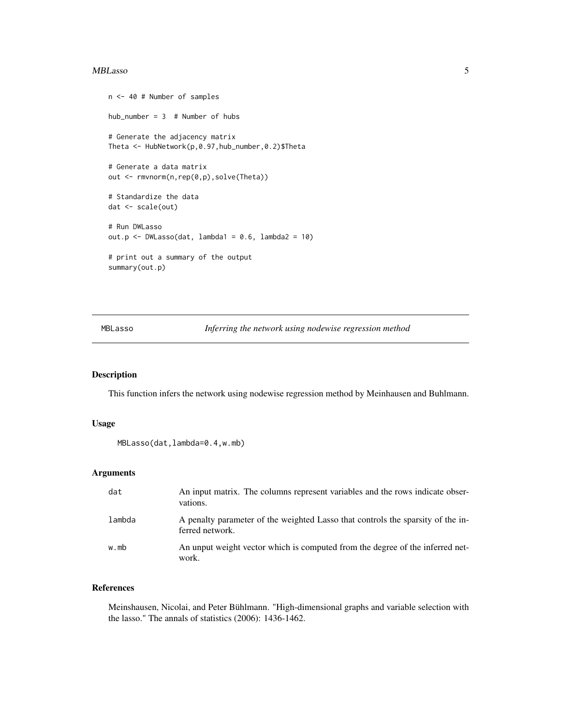#### <span id="page-4-0"></span>MBLasso 5

```
n <- 40 # Number of samples
hub_number = 3 # Number of hubs
# Generate the adjacency matrix
Theta <- HubNetwork(p,0.97,hub_number,0.2)$Theta
# Generate a data matrix
out <- rmvnorm(n,rep(0,p),solve(Theta))
# Standardize the data
dat <- scale(out)
# Run DWLasso
out.p <- DWLasso(dat, lambda1 = 0.6, lambda2 = 10)
# print out a summary of the output
summary(out.p)
```
MBLasso *Inferring the network using nodewise regression method*

#### Description

This function infers the network using nodewise regression method by Meinhausen and Buhlmann.

#### Usage

```
MBLasso(dat,lambda=0.4,w.mb)
```
#### Arguments

| dat    | An input matrix. The columns represent variables and the rows indicate obser-<br>vations.          |
|--------|----------------------------------------------------------------------------------------------------|
| lambda | A penalty parameter of the weighted Lasso that controls the sparsity of the in-<br>ferred network. |
| w.mb   | An unput weight vector which is computed from the degree of the inferred net-<br>work.             |

#### References

Meinshausen, Nicolai, and Peter Bühlmann. "High-dimensional graphs and variable selection with the lasso." The annals of statistics (2006): 1436-1462.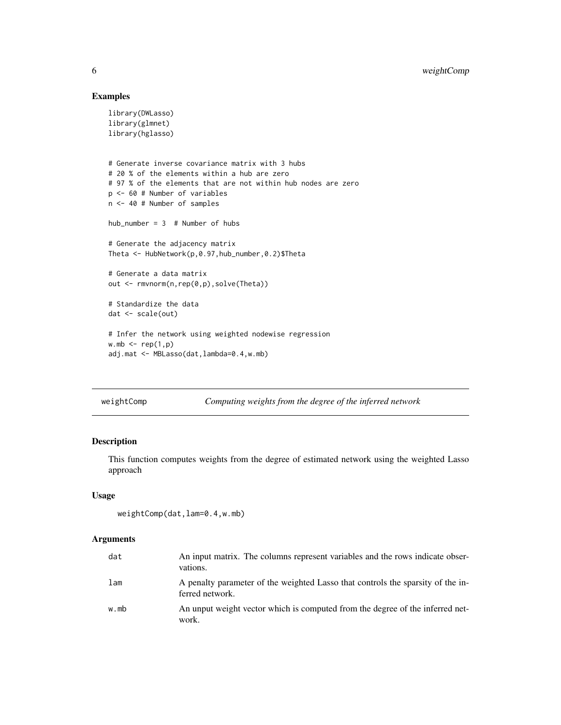#### Examples

```
library(DWLasso)
library(glmnet)
library(hglasso)
# Generate inverse covariance matrix with 3 hubs
# 20 % of the elements within a hub are zero
# 97 % of the elements that are not within hub nodes are zero
p <- 60 # Number of variables
n <- 40 # Number of samples
hub_number = 3 # Number of hubs
# Generate the adjacency matrix
Theta <- HubNetwork(p,0.97,hub_number,0.2)$Theta
# Generate a data matrix
out <- rmvnorm(n,rep(0,p),solve(Theta))
# Standardize the data
dat <- scale(out)
# Infer the network using weighted nodewise regression
wmb \leftarrow rep(1,p)adj.mat <- MBLasso(dat,lambda=0.4,w.mb)
```
weightComp *Computing weights from the degree of the inferred network*

#### Description

This function computes weights from the degree of estimated network using the weighted Lasso approach

#### Usage

```
weightComp(dat,lam=0.4,w.mb)
```
#### Arguments

| dat  | An input matrix. The columns represent variables and the rows indicate obser-<br>vations.          |
|------|----------------------------------------------------------------------------------------------------|
| lam  | A penalty parameter of the weighted Lasso that controls the sparsity of the in-<br>ferred network. |
| w.mb | An unput weight vector which is computed from the degree of the inferred net-<br>work.             |

<span id="page-5-0"></span>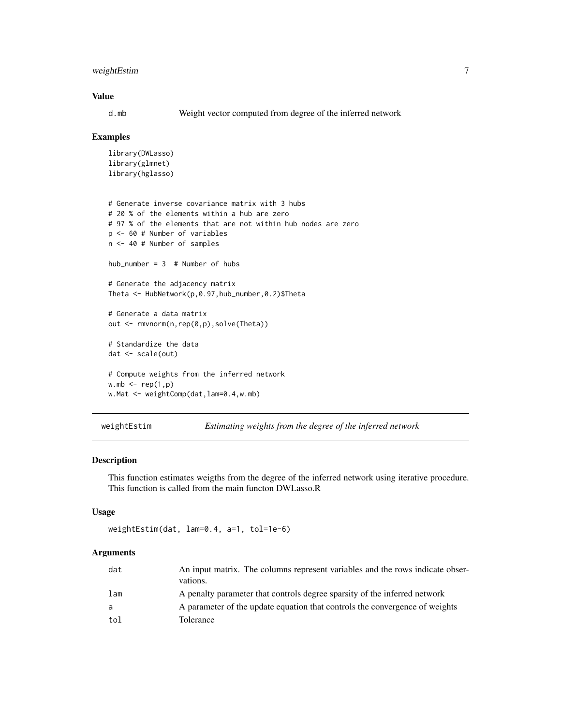#### <span id="page-6-0"></span>weightEstim 7

#### Value

d.mb Weight vector computed from degree of the inferred network

#### Examples

```
library(DWLasso)
library(glmnet)
library(hglasso)
# Generate inverse covariance matrix with 3 hubs
# 20 % of the elements within a hub are zero
# 97 % of the elements that are not within hub nodes are zero
p <- 60 # Number of variables
n <- 40 # Number of samples
hub number = 3 # Number of hubs
# Generate the adjacency matrix
Theta <- HubNetwork(p,0.97,hub_number,0.2)$Theta
# Generate a data matrix
out <- rmvnorm(n,rep(0,p),solve(Theta))
# Standardize the data
dat <- scale(out)
# Compute weights from the inferred network
wmb \leftarrow rep(1,p)w.Mat <- weightComp(dat, lam=0.4, w.mb)
```
weightEstim *Estimating weights from the degree of the inferred network*

#### Description

This function estimates weigths from the degree of the inferred network using iterative procedure. This function is called from the main functon DWLasso.R

#### Usage

```
weightEstim(dat, lam=0.4, a=1, tol=1e-6)
```
#### **Arguments**

| dat | An input matrix. The columns represent variables and the rows indicate obser-<br>vations. |
|-----|-------------------------------------------------------------------------------------------|
| lam | A penalty parameter that controls degree sparsity of the inferred network                 |
| a   | A parameter of the update equation that controls the convergence of weights               |
| tol | Tolerance                                                                                 |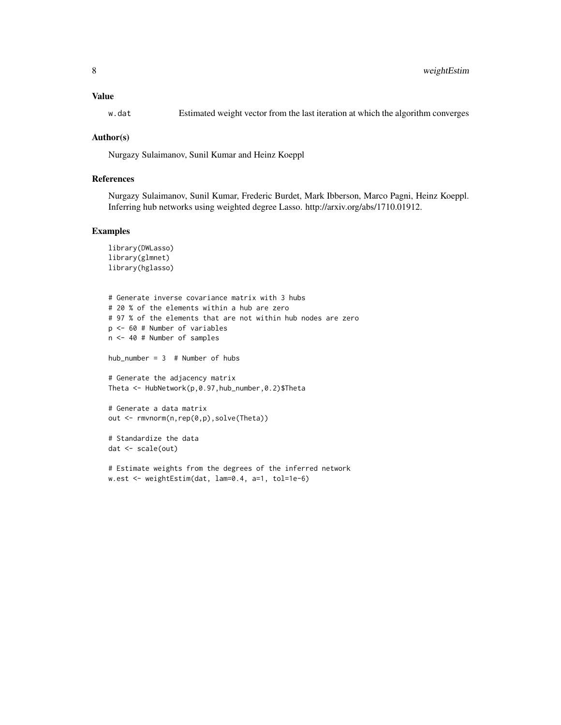#### Value

w.dat Estimated weight vector from the last iteration at which the algorithm converges

#### Author(s)

Nurgazy Sulaimanov, Sunil Kumar and Heinz Koeppl

#### References

Nurgazy Sulaimanov, Sunil Kumar, Frederic Burdet, Mark Ibberson, Marco Pagni, Heinz Koeppl. Inferring hub networks using weighted degree Lasso. http://arxiv.org/abs/1710.01912.

#### Examples

```
library(DWLasso)
library(glmnet)
library(hglasso)
# Generate inverse covariance matrix with 3 hubs
# 20 % of the elements within a hub are zero
# 97 % of the elements that are not within hub nodes are zero
p <- 60 # Number of variables
n <- 40 # Number of samples
hub_number = 3 # Number of hubs
# Generate the adjacency matrix
Theta <- HubNetwork(p,0.97,hub_number,0.2)$Theta
# Generate a data matrix
out <- rmvnorm(n,rep(0,p),solve(Theta))
# Standardize the data
dat <- scale(out)
# Estimate weights from the degrees of the inferred network
```
w.est <- weightEstim(dat, lam=0.4, a=1, tol=1e-6)